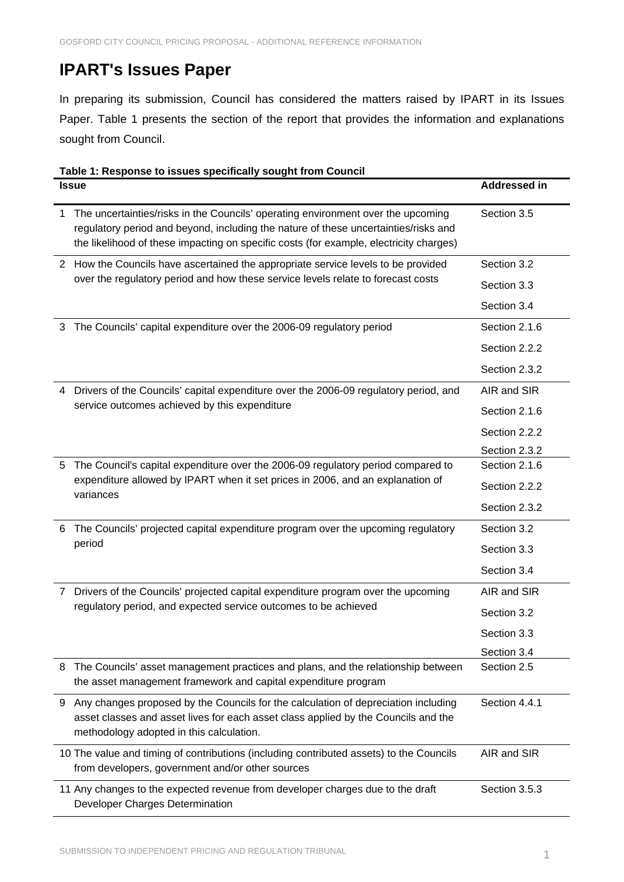## **IPART's Issues Paper**

In preparing its submission, Council has considered the matters raised by IPART in its Issues Paper. Table 1 presents the section of the report that provides the information and explanations sought from Council.

## **Table 1: Response to issues specifically sought from Council Issue Addressed in** 1 The uncertainties/risks in the Councils' operating environment over the upcoming regulatory period and beyond, including the nature of these uncertainties/risks and the likelihood of these impacting on specific costs (for example, electricity charges) Section 3.5 2 How the Councils have ascertained the appropriate service levels to be provided over the regulatory period and how these service levels relate to forecast costs Section 3.2 Section 3.3 Section 3.4 3 The Councils' capital expenditure over the 2006-09 regulatory period Section 2.1.6 Section 2.2.2 Section 2.3.2 4 Drivers of the Councils' capital expenditure over the 2006-09 regulatory period, and service outcomes achieved by this expenditure AIR and SIR Section 2.1.6 Section 2.2.2 Section 2.3.2 5 The Council's capital expenditure over the 2006-09 regulatory period compared to expenditure allowed by IPART when it set prices in 2006, and an explanation of variances Section 2.1.6 Section 2.2.2. Section 2.3.2 6 The Councils' projected capital expenditure program over the upcoming regulatory period Section 3.2 Section 3.3 Section 3.4 7 Drivers of the Councils' projected capital expenditure program over the upcoming regulatory period, and expected service outcomes to be achieved AIR and SIR Section 3.2 Section 3.3 Section 3.4 8 The Councils' asset management practices and plans, and the relationship between the asset management framework and capital expenditure program Section 2.5 9 Any changes proposed by the Councils for the calculation of depreciation including asset classes and asset lives for each asset class applied by the Councils and the methodology adopted in this calculation. Section 4.4.1 10 The value and timing of contributions (including contributed assets) to the Councils from developers, government and/or other sources AIR and SIR Section 3.5.3

11 Any changes to the expected revenue from developer charges due to the draft Developer Charges Determination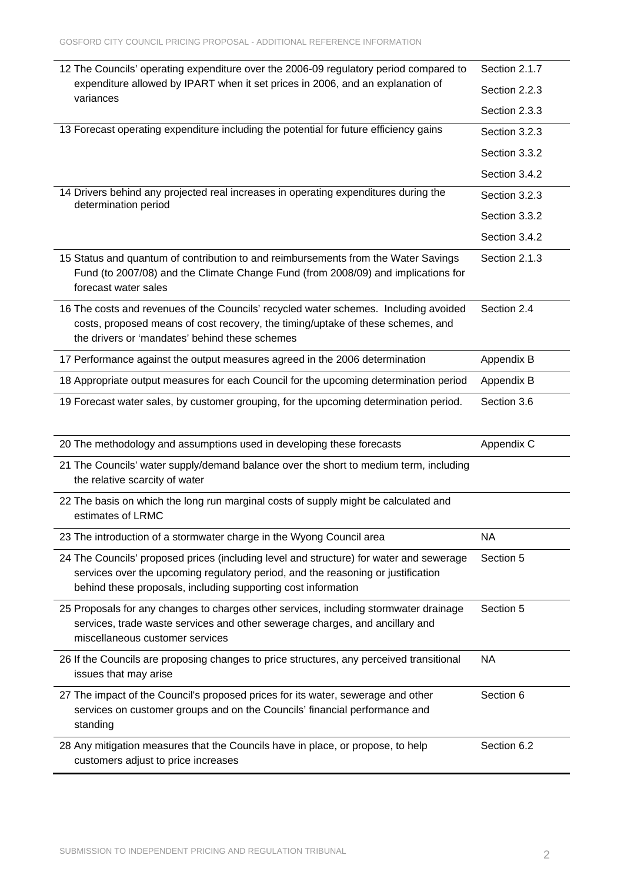| 12 The Councils' operating expenditure over the 2006-09 regulatory period compared to                                                                                                                                                        | Section 2.1.7 |
|----------------------------------------------------------------------------------------------------------------------------------------------------------------------------------------------------------------------------------------------|---------------|
| expenditure allowed by IPART when it set prices in 2006, and an explanation of<br>variances                                                                                                                                                  | Section 2.2.3 |
|                                                                                                                                                                                                                                              | Section 2.3.3 |
| 13 Forecast operating expenditure including the potential for future efficiency gains                                                                                                                                                        | Section 3.2.3 |
|                                                                                                                                                                                                                                              | Section 3.3.2 |
|                                                                                                                                                                                                                                              | Section 3.4.2 |
| 14 Drivers behind any projected real increases in operating expenditures during the<br>determination period                                                                                                                                  | Section 3.2.3 |
|                                                                                                                                                                                                                                              | Section 3.3.2 |
|                                                                                                                                                                                                                                              | Section 3.4.2 |
| 15 Status and quantum of contribution to and reimbursements from the Water Savings<br>Fund (to 2007/08) and the Climate Change Fund (from 2008/09) and implications for<br>forecast water sales                                              | Section 2.1.3 |
| 16 The costs and revenues of the Councils' recycled water schemes. Including avoided<br>costs, proposed means of cost recovery, the timing/uptake of these schemes, and<br>the drivers or 'mandates' behind these schemes                    | Section 2.4   |
| 17 Performance against the output measures agreed in the 2006 determination                                                                                                                                                                  | Appendix B    |
| 18 Appropriate output measures for each Council for the upcoming determination period                                                                                                                                                        | Appendix B    |
| 19 Forecast water sales, by customer grouping, for the upcoming determination period.                                                                                                                                                        | Section 3.6   |
|                                                                                                                                                                                                                                              |               |
| 20 The methodology and assumptions used in developing these forecasts                                                                                                                                                                        | Appendix C    |
| 21 The Councils' water supply/demand balance over the short to medium term, including<br>the relative scarcity of water                                                                                                                      |               |
| 22 The basis on which the long run marginal costs of supply might be calculated and<br>estimates of LRMC                                                                                                                                     |               |
| 23 The introduction of a stormwater charge in the Wyong Council area                                                                                                                                                                         | <b>NA</b>     |
| 24 The Councils' proposed prices (including level and structure) for water and sewerage<br>services over the upcoming regulatory period, and the reasoning or justification<br>behind these proposals, including supporting cost information | Section 5     |
| 25 Proposals for any changes to charges other services, including stormwater drainage<br>services, trade waste services and other sewerage charges, and ancillary and<br>miscellaneous customer services                                     | Section 5     |
| 26 If the Councils are proposing changes to price structures, any perceived transitional<br>issues that may arise                                                                                                                            | <b>NA</b>     |
| 27 The impact of the Council's proposed prices for its water, sewerage and other<br>services on customer groups and on the Councils' financial performance and<br>standing                                                                   | Section 6     |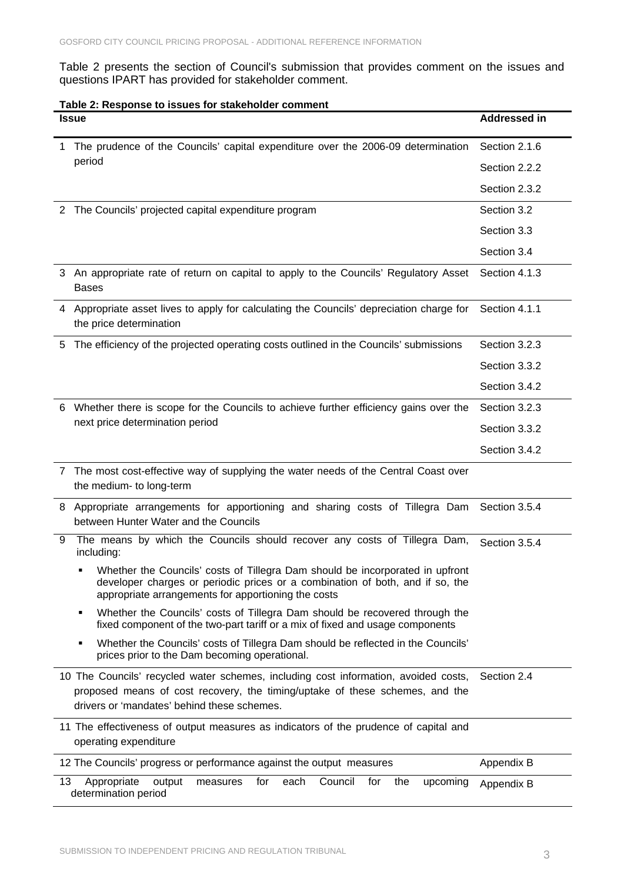Table 2 presents the section of Council's submission that provides comment on the issues and questions IPART has provided for stakeholder comment.

## **Table 2: Response to issues for stakeholder comment**

|    | <b>Issue</b>                                                                                                                                                                                                          | <b>Addressed in</b> |
|----|-----------------------------------------------------------------------------------------------------------------------------------------------------------------------------------------------------------------------|---------------------|
| 1. | The prudence of the Councils' capital expenditure over the 2006-09 determination                                                                                                                                      | Section 2.1.6       |
|    | period                                                                                                                                                                                                                | Section 2.2.2       |
|    |                                                                                                                                                                                                                       | Section 2.3.2       |
| 2  | The Councils' projected capital expenditure program                                                                                                                                                                   | Section 3.2         |
|    |                                                                                                                                                                                                                       | Section 3.3         |
|    |                                                                                                                                                                                                                       | Section 3.4         |
|    | 3 An appropriate rate of return on capital to apply to the Councils' Regulatory Asset<br><b>Bases</b>                                                                                                                 | Section 4.1.3       |
|    | 4 Appropriate asset lives to apply for calculating the Councils' depreciation charge for<br>the price determination                                                                                                   | Section 4.1.1       |
| 5  | The efficiency of the projected operating costs outlined in the Councils' submissions                                                                                                                                 | Section 3.2.3       |
|    |                                                                                                                                                                                                                       | Section 3.3.2       |
|    |                                                                                                                                                                                                                       | Section 3.4.2       |
| 6  | Whether there is scope for the Councils to achieve further efficiency gains over the                                                                                                                                  | Section 3.2.3       |
|    | next price determination period                                                                                                                                                                                       | Section 3.3.2       |
|    |                                                                                                                                                                                                                       | Section 3.4.2       |
| 7  | The most cost-effective way of supplying the water needs of the Central Coast over<br>the medium- to long-term                                                                                                        |                     |
| 8  | Appropriate arrangements for apportioning and sharing costs of Tillegra Dam<br>between Hunter Water and the Councils                                                                                                  | Section 3.5.4       |
| 9  | The means by which the Councils should recover any costs of Tillegra Dam,<br>including:                                                                                                                               | Section 3.5.4       |
|    | Whether the Councils' costs of Tillegra Dam should be incorporated in upfront<br>developer charges or periodic prices or a combination of both, and if so, the<br>appropriate arrangements for apportioning the costs |                     |
|    | Whether the Councils' costs of Tillegra Dam should be recovered through the<br>п<br>fixed component of the two-part tariff or a mix of fixed and usage components                                                     |                     |
|    | Whether the Councils' costs of Tillegra Dam should be reflected in the Councils'<br>п<br>prices prior to the Dam becoming operational.                                                                                |                     |
|    | 10 The Councils' recycled water schemes, including cost information, avoided costs,<br>proposed means of cost recovery, the timing/uptake of these schemes, and the<br>drivers or 'mandates' behind these schemes.    | Section 2.4         |
|    | 11 The effectiveness of output measures as indicators of the prudence of capital and<br>operating expenditure                                                                                                         |                     |
|    | 12 The Councils' progress or performance against the output measures                                                                                                                                                  | Appendix B          |
| 13 | output<br>each<br>Council<br>Appropriate<br>for<br>for<br>measures<br>the<br>upcoming<br>determination period                                                                                                         | Appendix B          |